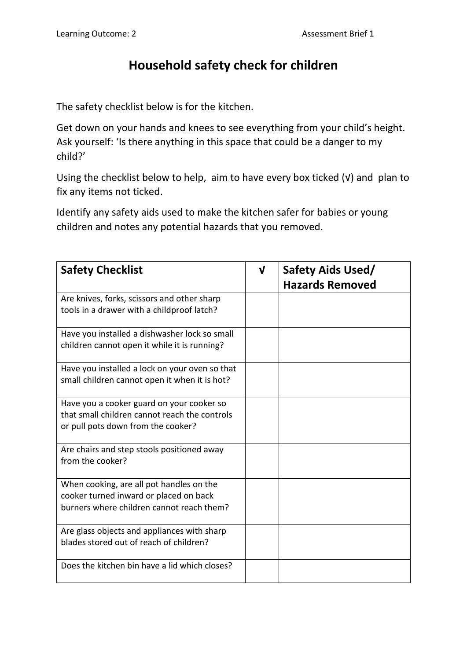## **Household safety check for children**

The safety checklist below is for the kitchen.

Get down on your hands and knees to see everything from your child's height. Ask yourself: 'Is there anything in this space that could be a danger to my child?'

Using the checklist below to help, aim to have every box ticked (√) and plan to fix any items not ticked.

Identify any safety aids used to make the kitchen safer for babies or young children and notes any potential hazards that you removed.

| <b>Safety Checklist</b>                                                                                                          | $\mathbf v$ | Safety Aids Used/      |
|----------------------------------------------------------------------------------------------------------------------------------|-------------|------------------------|
|                                                                                                                                  |             | <b>Hazards Removed</b> |
| Are knives, forks, scissors and other sharp<br>tools in a drawer with a childproof latch?                                        |             |                        |
| Have you installed a dishwasher lock so small<br>children cannot open it while it is running?                                    |             |                        |
| Have you installed a lock on your oven so that<br>small children cannot open it when it is hot?                                  |             |                        |
| Have you a cooker guard on your cooker so<br>that small children cannot reach the controls<br>or pull pots down from the cooker? |             |                        |
| Are chairs and step stools positioned away<br>from the cooker?                                                                   |             |                        |
| When cooking, are all pot handles on the<br>cooker turned inward or placed on back<br>burners where children cannot reach them?  |             |                        |
| Are glass objects and appliances with sharp<br>blades stored out of reach of children?                                           |             |                        |
| Does the kitchen bin have a lid which closes?                                                                                    |             |                        |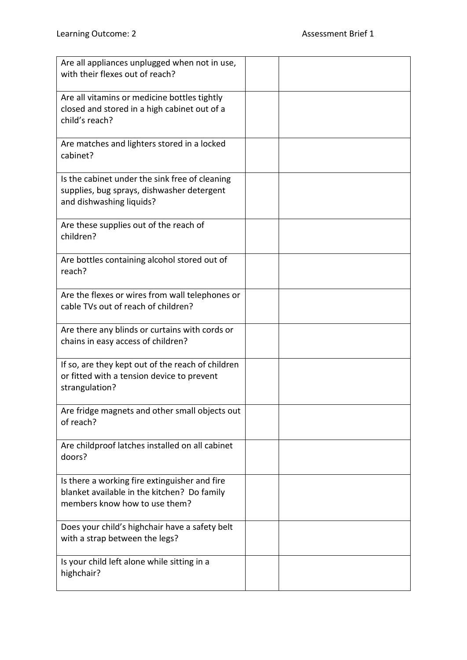| Are all appliances unplugged when not in use,<br>with their flexes out of reach?                                              |  |
|-------------------------------------------------------------------------------------------------------------------------------|--|
| Are all vitamins or medicine bottles tightly<br>closed and stored in a high cabinet out of a<br>child's reach?                |  |
| Are matches and lighters stored in a locked<br>cabinet?                                                                       |  |
| Is the cabinet under the sink free of cleaning<br>supplies, bug sprays, dishwasher detergent<br>and dishwashing liquids?      |  |
| Are these supplies out of the reach of<br>children?                                                                           |  |
| Are bottles containing alcohol stored out of<br>reach?                                                                        |  |
| Are the flexes or wires from wall telephones or<br>cable TVs out of reach of children?                                        |  |
| Are there any blinds or curtains with cords or<br>chains in easy access of children?                                          |  |
| If so, are they kept out of the reach of children<br>or fitted with a tension device to prevent<br>strangulation?             |  |
| Are fridge magnets and other small objects out<br>of reach?                                                                   |  |
| Are childproof latches installed on all cabinet<br>doors?                                                                     |  |
| Is there a working fire extinguisher and fire<br>blanket available in the kitchen? Do family<br>members know how to use them? |  |
| Does your child's highchair have a safety belt<br>with a strap between the legs?                                              |  |
| Is your child left alone while sitting in a<br>highchair?                                                                     |  |